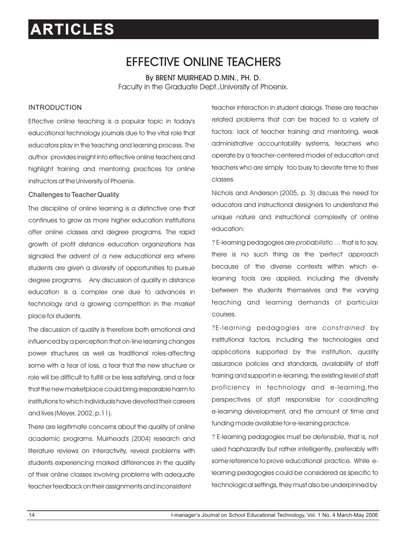## EFFECTIVE ONLINE TEACHERS

By BRENT MUIRHEAD D.MIN., PH. D. Faculty in the Graduate Dept.,University of Phoenix.

#### INTRODUCTION

Effective online teaching is a popular topic in today's educational technology journals due to the vital role that educators play in the teaching and learning process. The author provides insight into effective online teachers and highlight training and mentoring practices for online instructors at the University of Phoenix.

#### Challenges to Teacher Quality

The discipline of online learning is a distinctive one that continues to grow as more higher education institutions offer online classes and degree programs. The rapid growth of profit distance education organizations has signaled the advent of a new educational era where students are given a diversity of opportunities to pursue degree programs. Any discussion of quality in distance education is a complex one due to advances in technology and a growing competition in the market place for students.

The discussion of quality is therefore both emotional and influenced by a perception that on-line learning changes power structures as well as traditional roles-affecting some with a fear of loss, a fear that the new structure or role will be difficult to fulfill or be less satisfying, and a fear that the new marketplace could bring irreparable harm to institutions to which individuals have devoted their careers and lives (Meyer, 2002, p.11).

There are legitimate concerns about the quality of online academic programs. Muirhead's (2004) research and literature reviews on interactivity, reveal problems with students experiencing marked differences in the quality of their online classes involving problems with adequate teacher feedback on their assignments and inconsistent

teacher interaction in student dialogs. These are teacher related problems that can be traced to a variety of factors: lack of teacher training and mentoring, weak administrative accountability systems, teachers who operate by a teacher-centered model of education and teachers who are simply too busy to devote time to their classes.

Nichols and Anderson (2005, p. 3) discuss the need for educators and instructional designers to understand the unique nature and instructional complexity of online education:

?E-learning pedagogies are *probabilistic* … that is to say, there is no such thing as the 'perfect' approach because of the diverse contexts within which elearning tools are applied, including the diversity between the students themselves and the varying teaching and learning demands of particular courses.

?E-learning pedagogies are *constrained* by institutional factors, including the technologies and applications supported by the institution, quality assurance policies and standards, availability of staff training and support in e-learning, the existing level of staff proficiency in technology and e-learning,the perspectives of staff responsible for coordinating e-learning development, and the amount of time and funding made available for e-learning practice.

?E-learning pedagogies must be *defensible*, that is, not used haphazardly but rather intelligently, preferably with some reference to prove educational practice. While elearning pedagogies could be considered as specific to technological settings, they must also be underpinned by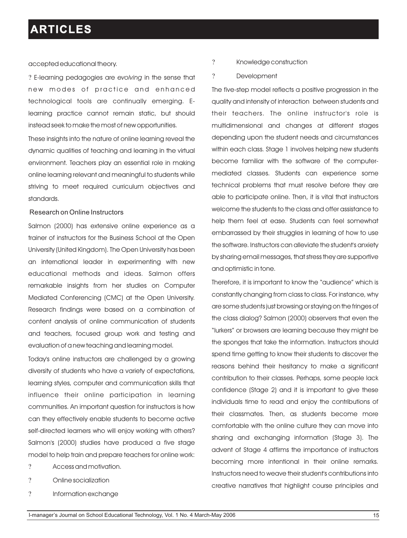#### accepted educational theory.

?E-learning pedagogies are *evolving* in the sense that new modes of practice and enhanced technological tools are continually emerging. Elearning practice cannot remain static, but should instead seek to make the most of new opportunities.

These insights into the nature of online learning reveal the dynamic qualities of teaching and learning in the virtual environment. Teachers play an essential role in making online learning relevant and meaningful to students while striving to meet required curriculum objectives and standards.

#### Research on Online Instructors

Salmon (2000) has extensive online experience as a trainer of instructors for the Business School at the Open University (United Kingdom). The Open University has been an international leader in experimenting with new educational methods and ideas. Salmon offers remarkable insights from her studies on Computer Mediated Conferencing (CMC) at the Open University. Research findings were based on a combination of content analysis of online communication of students and teachers, focused group work and testing and evaluation of a new teaching and learning model.

Today's online instructors are challenged by a growing diversity of students who have a variety of expectations, learning styles, computer and communication skills that influence their online participation in learning communities. An important question for instructors is how can they effectively enable students to become active self-directed learners who will enjoy working with others? Salmon's (2000) studies have produced a five stage model to help train and prepare teachers for online work:

- ? Access and motivation.
- ? Online socialization
- ? Information exchange
- ? Knowledge construction
- ? Development

The five-step model reflects a positive progression in the quality and intensity of interaction between students and their teachers. The online instructor's role is multidimensional and changes at different stages depending upon the student needs and circumstances within each class. Stage 1 involves helping new students become familiar with the software of the computermediated classes. Students can experience some technical problems that must resolve before they are able to participate online. Then, it is vital that instructors welcome the students to the class and offer assistance to help them feel at ease. Students can feel somewhat embarrassed by their struggles in learning of how to use the software. Instructors can alleviate the student's anxiety by sharing email messages, that stress they are supportive and optimistic in tone.

Therefore, it is important to know the "audience" which is constantly changing from class to class. For instance, why are some students just browsing or staying on the fringes of the class dialog? Salmon (2000) observers that even the "lurkers" or browsers are learning because they might be the sponges that take the information. Instructors should spend time getting to know their students to discover the reasons behind their hesitancy to make a significant contribution to their classes. Perhaps, some people lack confidence (Stage 2) and it is important to give these individuals time to read and enjoy the contributions of their classmates. Then, as students become more comfortable with the online culture they can move into sharing and exchanging information (Stage 3). The advent of Stage 4 affirms the importance of instructors becoming more intentional in their online remarks. Instructors need to weave their student's contributions into creative narratives that highlight course principles and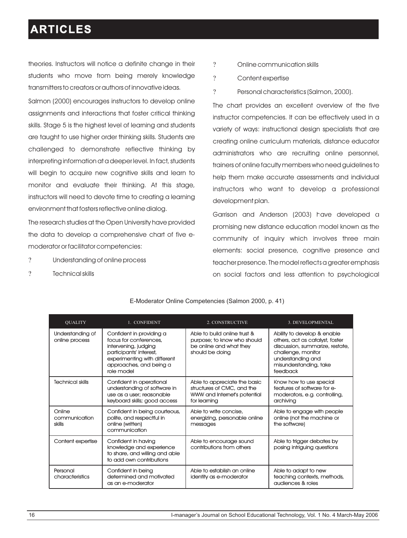theories. Instructors will notice a definite change in their students who move from being merely knowledge transmitters to creators or authors of innovative ideas.

Salmon (2000) encourages instructors to develop online assignments and interactions that foster critical thinking skills. Stage 5 is the highest level of learning and students are taught to use higher order thinking skills. Students are challenged to demonstrate reflective thinking by interpreting information at a deeper level. In fact, students will begin to acquire new cognitive skills and learn to monitor and evaluate their thinking. At this stage, instructors will need to devote time to creating a learning environment that fosters reflective online dialog.

The research studies at the Open University have provided the data to develop a comprehensive chart of five emoderator or facilitator competencies:

- ? Understanding of online process
- ? Technical skills
- ? Online communication skills
- ? Content expertise
- ? Personal characteristics (Salmon, 2000).

The chart provides an excellent overview of the five instructor competencies. It can be effectively used in a variety of ways: instructional design specialists that are creating online curriculum materials, distance educator administrators who are recruiting online personnel, trainers of online faculty members who need guidelines to help them make accurate assessments and individual instructors who want to develop a professional development plan.

Garrison and Anderson (2003) have developed a promising new distance education model known as the community of inquiry which involves three main elements: social presence, cognitive presence and teacher presence. The model reflects a greater emphasis on social factors and less attention to psychological

E-Moderator Online Competencies (Salmon 2000, p. 41)

| <b>OUALITY</b>                     | 1. CONFIDENT                                                                                                                                                                   | 2. CONSTRUCTIVE                                                                                            | 3. DEVELOPMENTAL                                                                                                                                                                   |
|------------------------------------|--------------------------------------------------------------------------------------------------------------------------------------------------------------------------------|------------------------------------------------------------------------------------------------------------|------------------------------------------------------------------------------------------------------------------------------------------------------------------------------------|
| Understanding of<br>online process | Confident in providing a<br>focus for conferences.<br>intervening, judging<br>participants' interest,<br>experimenting with different<br>approaches, and being a<br>role model | Able to build online trust &<br>purpose; to know who should<br>be online and what they<br>should be doing  | Ability to develop & enable<br>others, act as catalyst, foster<br>discussion, summarize, restate,<br>challenge, monitor<br>understanding and<br>misunderstanding, take<br>feedback |
| <b>Technical skills</b>            | Confident in operational<br>understanding of software in<br>use as a user; reasonable<br>keyboard skills; good access                                                          | Able to appreciate the basic<br>structures of CMC, and the<br>WWW and Internet's potential<br>for learning | Know how to use special<br>features of software for e-<br>moderators, e.g. controlling,<br>archiving                                                                               |
| Online<br>communication<br>skills  | Confident in being courteous,<br>polite, and respectful in<br>online (written)<br>communication                                                                                | Able to write concise,<br>energizing, personable online<br>messages                                        | Able to engage with people<br>online (not the machine or<br>the software)                                                                                                          |
| Content expertise                  | Confident in having<br>knowledge and experience<br>to share, and willing and able<br>to add own contributions                                                                  | Able to encourage sound<br>contributions from others                                                       | Able to trigger debates by<br>posing intriguing questions                                                                                                                          |
| Personal<br>characteristics        | Confident in being<br>determined and motivated<br>as an e-moderator                                                                                                            | Able to establish an online<br>identity as e-moderator                                                     | Able to adapt to new<br>teaching contexts, methods,<br>audiences & roles                                                                                                           |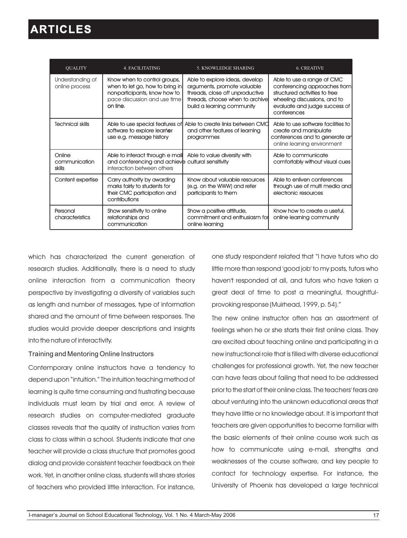| <b>OUALITY</b>                     | <b>4. FACILITATING</b>                                                                                                                       | 5. KNOWLEDGE SHARING                                                                                                                                              | <b>6. CREATIVE</b>                                                                                                                                                          |
|------------------------------------|----------------------------------------------------------------------------------------------------------------------------------------------|-------------------------------------------------------------------------------------------------------------------------------------------------------------------|-----------------------------------------------------------------------------------------------------------------------------------------------------------------------------|
| Understanding of<br>online process | Know when to control groups,<br>when to let go, how to bring in<br>non-participants, know how to<br>pace discussion and use time<br>on line. | Able to explore ideas, develop<br>arguments, promote valuable<br>threads, close off unproductive<br>threads, choose when to archive<br>build a learning community | Able to use a range of CMC<br>conferencing approaches from<br>structured activities to free<br>wheeling discussions, and to<br>evaluate and judge success of<br>conferences |
| <b>Technical skills</b>            | Able to use special features of<br>software to explore learner<br>use e.g. message history                                                   | Able to create links between CMC<br>and other features of learning<br>programmes                                                                                  | Able to use software facilities to<br>create and manipulate<br>conferences and to generate an<br>online learning environment                                                |
| Online<br>communication<br>skills  | Able to interact through e mail<br>and conferencing and achieve cultural sensitivity<br>interaction between others                           | Able to value diversity with                                                                                                                                      | Able to communicate<br>comfortably without visual cues                                                                                                                      |
| Content expertise                  | Carry authority by awarding<br>marks fairly to students for<br>their CMC participation and<br>contributions                                  | Know about valuable resources<br>(e.g. on the WWW) and refer<br>participants to them                                                                              | Able to enliven conferences<br>through use of multi media and<br>electronic resources                                                                                       |
| Personal<br>characteristics        | Show sensitivity to online<br>relationships and<br>communication                                                                             | Show a positive attitude,<br>commitment and enthusiasm for<br>online learning                                                                                     | Know how to create a useful,<br>online learning community                                                                                                                   |

which has characterized the current generation of research studies. Additionally, there is a need to study online interaction from a communication theory perspective by investigating a diversity of variables such as length and number of messages, type of information shared and the amount of time between responses. The studies would provide deeper descriptions and insights into the nature of interactivity.

#### Training and Mentoring Online Instructors

Contemporary online instructors have a tendency to depend upon "intuition." The intuition teaching method of learning is quite time consuming and frustrating because individuals must learn by trial and error. A review of research studies on computer-mediated graduate classes reveals that the quality of instruction varies from class to class within a school. Students indicate that one teacher will provide a class structure that promotes good dialog and provide consistent teacher feedback on their work. Yet, in another online class, students will share stories of teachers who provided little interaction. For instance,

one study respondent related that "I have tutors who do little more than respond 'good job' to my posts, tutors who haven't responded at all, and tutors who have taken a great deal of time to post a meaningful, thoughtfulprovoking response (Muirhead, 1999, p. 54)."

The new online instructor often has an assortment of feelings when he or she starts their first online class. They are excited about teaching online and participating in a new instructional role that is filled with diverse educational challenges for professional growth. Yet, the new teacher can have fears about failing that need to be addressed prior to the start of their online class. The teachers' fears are about venturing into the unknown educational areas that they have little or no knowledge about. It is important that teachers are given opportunities to become familiar with the basic elements of their online course work such as how to communicate using e-mail, strengths and weaknesses of the course software, and key people to contact for technology expertise. For instance, the University of Phoenix has developed a large technical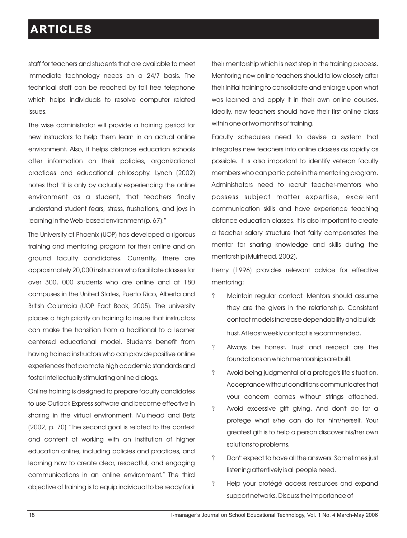staff for teachers and students that are available to meet immediate technology needs on a 24/7 basis. The technical staff can be reached by toll free telephone which helps individuals to resolve computer related issues.

The wise administrator will provide a training period for new instructors to help them learn in an actual online environment. Also, it helps distance education schools offer information on their policies, organizational practices and educational philosophy. Lynch (2002) notes that "it is only by actually experiencing the online environment as a student, that teachers finally understand student fears, stress, frustrations, and joys in learning in the Web-based environment (p. 67)."

The University of Phoenix (UOP) has developed a rigorous training and mentoring program for their online and on ground faculty candidates. Currently, there are approximately 20,000 instructors who facilitate classes for over 300, 000 students who are online and at 180 campuses in the United States, Puerto Rico, Alberta and British Columbia (UOP Fact Book, 2005). The university places a high priority on training to insure that instructors can make the transition from a traditional to a learner centered educational model. Students benefit from having trained instructors who can provide positive online experiences that promote high academic standards and foster intellectually stimulating online dialogs.

Online training is designed to prepare faculty candidates to use Outlook Express software and become effective in sharing in the virtual environment. Muirhead and Betz (2002, p. 70) "The second goal is related to the context and content of working with an institution of higher education online, including policies and practices, and learning how to create clear, respectful, and engaging communications in an online environment." The third objective of training is to equip individual to be ready for ir their mentorship which is next step in the training process. Mentoring new online teachers should follow closely after their initial training to consolidate and enlarge upon what was learned and apply it in their own online courses. Ideally, new teachers should have their first online class within one or two months of training.

Faculty schedulers need to devise a system that integrates new teachers into online classes as rapidly as possible. It is also important to identify veteran faculty members who can participate in the mentoring program. Administrators need to recruit teacher-mentors who possess subject matter expertise, excellent communication skills and have experience teaching distance education classes. It is also important to create a teacher salary structure that fairly compensates the mentor for sharing knowledge and skills during the mentorship (Muirhead, 2002).

Henry (1996) provides relevant advice for effective mentoring:

- ?Maintain regular contact. Mentors should assume they are the givers in the relationship. Consistent contact models increase dependability and builds trust. At least weekly contact is recommended.
- ?Always be honest. Trust and respect are the foundations on which mentorships are built.
- ?Avoid being judgmental of a protege's life situation. Acceptance without conditions communicates that your concern comes without strings attached.
- ?Avoid excessive gift giving. And don't do for a protege what s/he can do for him/herself. Your greatest gift is to help a person discover his/her own solutions to problems.
- ?Don't expect to have all the answers. Sometimes just listening attentively is all people need.
- ? Help your protégé access resources and expand support networks. Discuss the importance of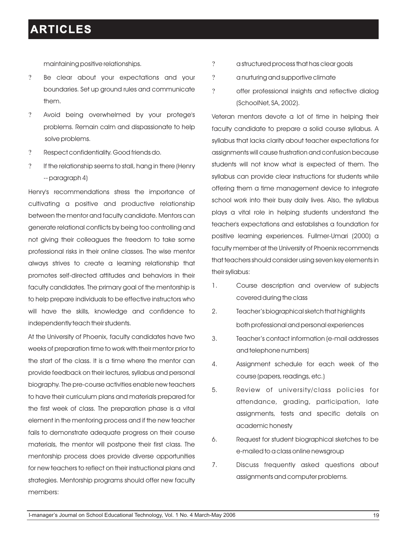maintaining positive relationships.

- ?Be clear about your expectations and your boundaries. Set up ground rules and communicate them.
- ?Avoid being overwhelmed by your protege's problems. Remain calm and dispassionate to help solve problems.
- ?Respect confidentiality. Good friends do.
- ? If the relationship seems to stall, hang in there (Henry -- paragraph 4)

Henry's recommendations stress the importance of cultivating a positive and productive relationship between the mentor and faculty candidate. Mentors can generate relational conflicts by being too controlling and not giving their colleagues the freedom to take some professional risks in their online classes. The wise mentor always strives to create a learning relationship that promotes self-directed attitudes and behaviors in their faculty candidates. The primary goal of the mentorship is to help prepare individuals to be effective instructors who will have the skills, knowledge and confidence to independently teach their students.

At the University of Phoenix, faculty candidates have two weeks of preparation time to work with their mentor prior to the start of the class. It is a time where the mentor can provide feedback on their lectures, syllabus and personal biography. The pre-course activities enable new teachers to have their curriculum plans and materials prepared for the first week of class. The preparation phase is a vital element in the mentoring process and if the new teacher fails to demonstrate adequate progress on their course materials, the mentor will postpone their first class. The mentorship process does provide diverse opportunities for new teachers to reflect on their instructional plans and strategies. Mentorship programs should offer new faculty members:

- ? a structured process that has clear goals
- ? a nurturing and supportive climate
- ? offer professional insights and reflective dialog (SchoolNet, SA, 2002).

Veteran mentors devote a lot of time in helping their faculty candidate to prepare a solid course syllabus. A syllabus that lacks clarity about teacher expectations for assignments will cause frustration and confusion because students will not know what is expected of them. The syllabus can provide clear instructions for students while offering them a time management device to integrate school work into their busy daily lives. Also, the syllabus plays a vital role in helping students understand the teacher's expectations and establishes a foundation for positive learning experiences. Fullmer-Umari (2000) a faculty member at the University of Phoenix recommends that teachers should consider using seven key elements in their syllabus:

- 1. Course description and overview of subjects covered during the class
- 2. Teacher's biographical sketch that highlights both professional and personal experiences
- 3. Teacher's contact information (e-mail addresses and telephone numbers)
- 4. Assignment schedule for each week of the course (papers, readings, etc.)
- 5. Review of university/class policies for attendance, grading, participation, late assignments, tests and specific details on academic honesty
- 6. Request for student biographical sketches to be e-mailed to a class online newsgroup
- 7. Discuss frequently asked questions about assignments and computer problems.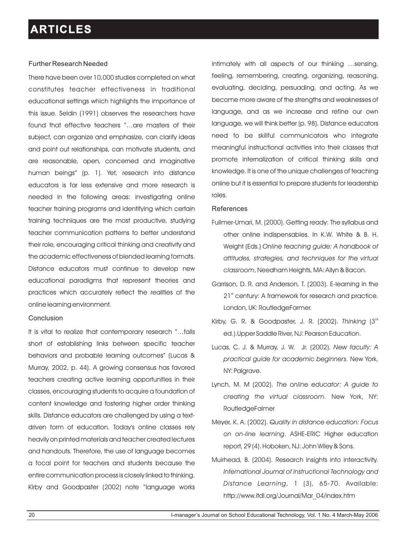#### Further Research Needed

There have been over 10,000 studies completed on what constitutes teacher effectiveness in traditional educational settings which highlights the importance of this issue. Seldin (1991) observes the researchers have found that effective teachers "…are masters of their subject, can organize and emphasize, can clarify ideas and point out relationships, can motivate students, and are reasonable, open, concerned and imaginative human beings" (p. 1). Yet, research into distance educators is far less extensive and more research is needed in the following areas: investigating online teacher training programs and identifying which certain training techniques are the most productive, studying teacher communication patterns to better understand their role, encouraging critical thinking and creativity and the academic effectiveness of blended learning formats. Distance educators must continue to develop new educational paradigms that represent theories and practices which accurately reflect the realities of the online learning environment.

#### Conclusion

It is vital to realize that contemporary research "…falls short of establishing links between specific teacher behaviors and probable learning outcomes" (Lucas & Murray, 2002, p. 44). A growing consensus has favored teachers creating active learning opportunities in their classes, encouraging students to acquire a foundation of content knowledge and fostering higher order thinking skills. Distance educators are challenged by using a textdriven form of education. Today's online classes rely heavily on printed materials and teacher created lectures and handouts. Therefore, the use of language becomes a focal point for teachers and students because the entire communication process is closely linked to thinking. Kirby and Goodpaster (2002) note "language works

intimately with all aspects of our thinking …sensing, feeling, remembering, creating, organizing, reasoning, evaluating, deciding, persuading, and acting. As we become more aware of the strengths and weaknesses of language, and as we increase and refine our own language, we will think better (p. 98). Distance educators need to be skillful communicators who integrate meaningful instructional activities into their classes that promote internalization of critical thinking skills and knowledge. It is one of the unique challenges of teaching online but it is essential to prepare students for leadership roles.

#### References

- Fullmer-Umari, M. (2000). Getting ready: The syllabus and other online indispensables. In K.W. White & B. H. Weight (Eds.) *Online teaching guide: A handbook of attitudes, strategies, and techniques for the virtual classroom*, Needham Heights, MA: Allyn & Bacon.
- Garrison, D. R. and Anderson, T. (2003). E-learning in the 21<sup>st</sup> century: A framework for research and practice. London, UK: RoutledgeFarmer.
- Kirby, G. R. & Goodpaster, J. R. (2002). *Thinking* (3<sup>rd</sup> ed.).Upper Saddle River, NJ: Pearson Education.
- Lucas, C. J. & Murray, J. W. Jr. (2002). *New faculty: A practical guide for academic beginners*. New York, NY: Palgrave.
- Lynch, M. M (2002). *The online educator: A guide to creating the virtual classroom*. New York, NY: RoutledgeFalmer
- Meyer, K. A. (2002). *Quality in distance education: Focus on on-line learning*. ASHE-ERIC Higher education report, 29 (4). Hoboken, NJ: John Wiley & Sons.
- Muirhead, B. (2004). Research insights into interactivity. *International Journal of Instructional Technology and Distance Learning*, 1 (3), 65-70. Available: http://www.itdl.org/Journal/Mar\_04/index.htm